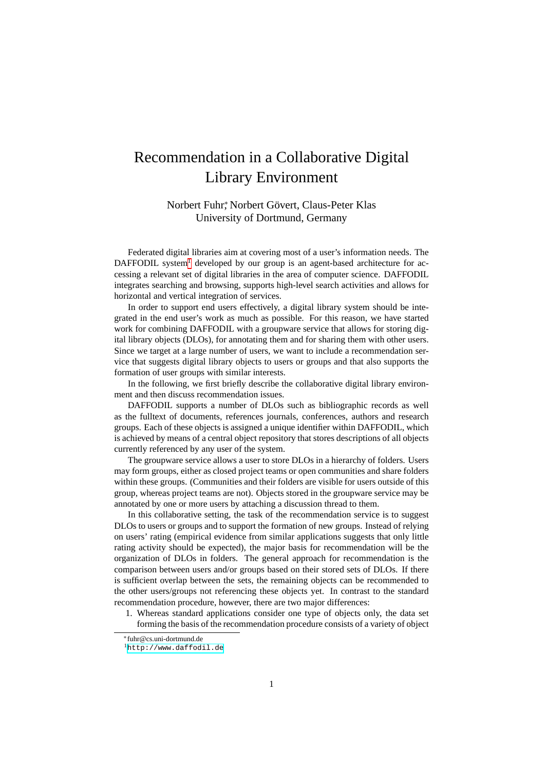## Recommendation in a Collaborative Digital Library Environment

Norbert Fuhr, Norbert Gövert, Claus-Peter Klas University of Dortmund, Germany

Federated digital libraries aim at covering most of a user's information needs. The DAFFODIL system $<sup>1</sup>$  $<sup>1</sup>$  $<sup>1</sup>$  developed by our group is an agent-based architecture for ac-</sup> cessing a relevant set of digital libraries in the area of computer science. DAFFODIL integrates searching and browsing, supports high-level search activities and allows for horizontal and vertical integration of services.

In order to support end users effectively, a digital library system should be integrated in the end user's work as much as possible. For this reason, we have started work for combining DAFFODIL with a groupware service that allows for storing digital library objects (DLOs), for annotating them and for sharing them with other users. Since we target at a large number of users, we want to include a recommendation service that suggests digital library objects to users or groups and that also supports the formation of user groups with similar interests.

In the following, we first briefly describe the collaborative digital library environment and then discuss recommendation issues.

DAFFODIL supports a number of DLOs such as bibliographic records as well as the fulltext of documents, references journals, conferences, authors and research groups. Each of these objects is assigned a unique identifier within DAFFODIL, which is achieved by means of a central object repository that stores descriptions of all objects currently referenced by any user of the system.

The groupware service allows a user to store DLOs in a hierarchy of folders. Users may form groups, either as closed project teams or open communities and share folders within these groups. (Communities and their folders are visible for users outside of this group, whereas project teams are not). Objects stored in the groupware service may be annotated by one or more users by attaching a discussion thread to them.

In this collaborative setting, the task of the recommendation service is to suggest DLOs to users or groups and to support the formation of new groups. Instead of relying on users' rating (empirical evidence from similar applications suggests that only little rating activity should be expected), the major basis for recommendation will be the organization of DLOs in folders. The general approach for recommendation is the comparison between users and/or groups based on their stored sets of DLOs. If there is sufficient overlap between the sets, the remaining objects can be recommended to the other users/groups not referencing these objects yet. In contrast to the standard recommendation procedure, however, there are two major differences:

1. Whereas standard applications consider one type of objects only, the data set forming the basis of the recommendation procedure consists of a variety of object

<sup>∗</sup>fuhr@cs.uni-dortmund.de

<span id="page-0-0"></span><sup>1</sup><http://www.daffodil.de>